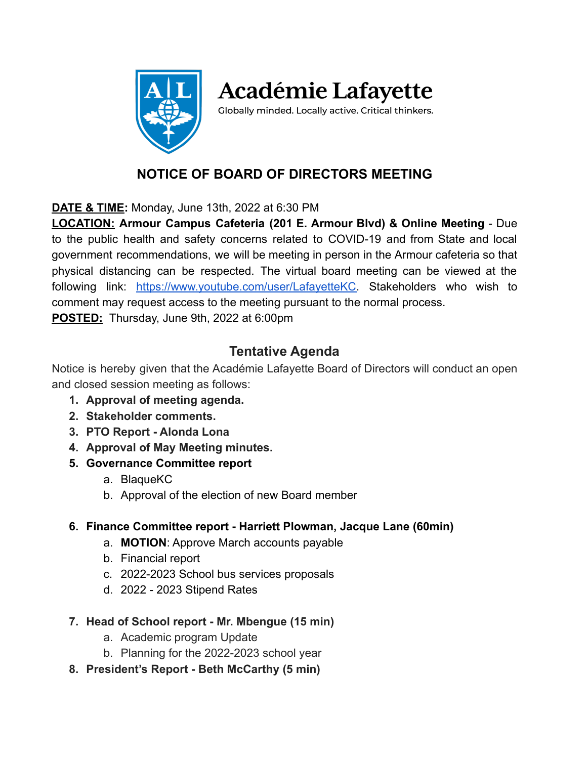

**Académie Lafayette** 

Globally minded. Locally active. Critical thinkers.

## **NOTICE OF BOARD OF DIRECTORS MEETING**

**DATE & TIME:** Monday, June 13th, 2022 at 6:30 PM

**LOCATION: Armour Campus Cafeteria (201 E. Armour Blvd) & Online Meeting** - Due to the public health and safety concerns related to COVID-19 and from State and local government recommendations, we will be meeting in person in the Armour cafeteria so that physical distancing can be respected. The virtual board meeting can be viewed at the following link: [https://www.youtube.com/user/LafayetteKC.](https://www.youtube.com/user/LafayetteKC) Stakeholders who wish to comment may request access to the meeting pursuant to the normal process. **POSTED:** Thursday, June 9th, 2022 at 6:00pm

## **Tentative Agenda**

Notice is hereby given that the Académie Lafayette Board of Directors will conduct an open and closed session meeting as follows:

- **1. Approval of meeting agenda.**
- **2. Stakeholder comments.**
- **3. PTO Report Alonda Lona**
- **4. Approval of May Meeting minutes.**
- **5. Governance Committee report**
	- a. BlaqueKC
	- b. Approval of the election of new Board member
- **6. Finance Committee report Harriett Plowman, Jacque Lane (60min)**
	- a. **MOTION**: Approve March accounts payable
	- b. Financial report
	- c. 2022-2023 School bus services proposals
	- d. 2022 2023 Stipend Rates
- **7. Head of School report Mr. Mbengue (15 min)**
	- a. Academic program Update
	- b. Planning for the 2022-2023 school year
- **8. President's Report Beth McCarthy (5 min)**